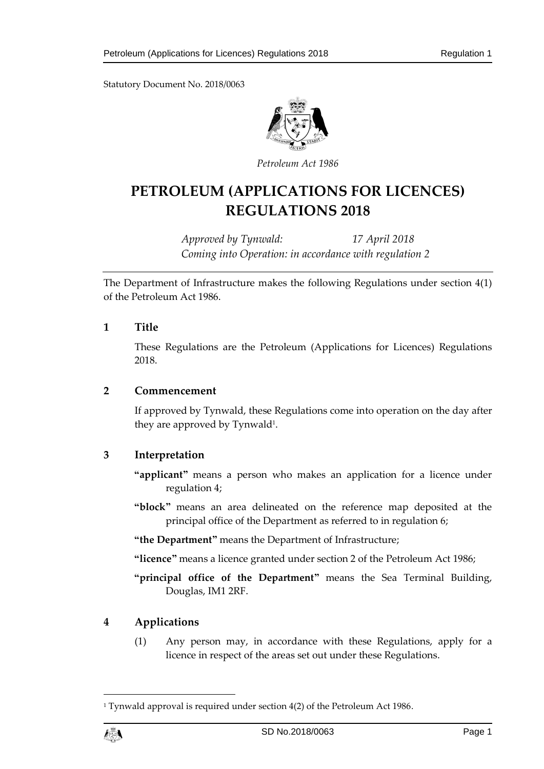Statutory Document No. 2018/0063



*Petroleum Act 1986*

# **PETROLEUM (APPLICATIONS FOR LICENCES) REGULATIONS 2018**

*Approved by Tynwald: 17 April 2018 Coming into Operation: in accordance with regulation 2*

The Department of Infrastructure makes the following Regulations under section 4(1) of the Petroleum Act 1986.

### **1 Title**

These Regulations are the Petroleum (Applications for Licences) Regulations 2018.

#### **2 Commencement**

If approved by Tynwald, these Regulations come into operation on the day after they are approved by Tynwald<sup>1</sup>.

## **3 Interpretation**

- **"applicant"** means a person who makes an application for a licence under regulation 4;
- **"block"** means an area delineated on the reference map deposited at the principal office of the Department as referred to in regulation 6;

**"the Department"** means the Department of Infrastructure;

**"licence"** means a licence granted under section 2 of the Petroleum Act 1986;

**"principal office of the Department"** means the Sea Terminal Building, Douglas, IM1 2RF.

## **4 Applications**

(1) Any person may, in accordance with these Regulations, apply for a licence in respect of the areas set out under these Regulations.

<sup>&</sup>lt;sup>1</sup> Tynwald approval is required under section 4(2) of the Petroleum Act 1986.



1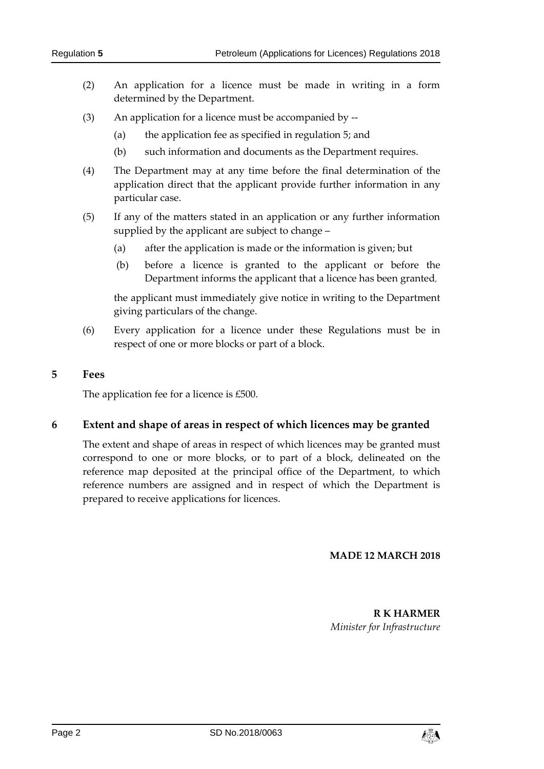- (2) An application for a licence must be made in writing in a form determined by the Department.
- (3) An application for a licence must be accompanied by --
	- (a) the application fee as specified in regulation 5; and
	- (b) such information and documents as the Department requires.
- (4) The Department may at any time before the final determination of the application direct that the applicant provide further information in any particular case.
- (5) If any of the matters stated in an application or any further information supplied by the applicant are subject to change –
	- (a) after the application is made or the information is given; but
	- (b) before a licence is granted to the applicant or before the Department informs the applicant that a licence has been granted,

the applicant must immediately give notice in writing to the Department giving particulars of the change.

(6) Every application for a licence under these Regulations must be in respect of one or more blocks or part of a block.

#### **5 Fees**

The application fee for a licence is £500.

#### **6 Extent and shape of areas in respect of which licences may be granted**

The extent and shape of areas in respect of which licences may be granted must correspond to one or more blocks, or to part of a block, delineated on the reference map deposited at the principal office of the Department, to which reference numbers are assigned and in respect of which the Department is prepared to receive applications for licences.

#### **MADE 12 MARCH 2018**

**R K HARMER** *Minister for Infrastructure*